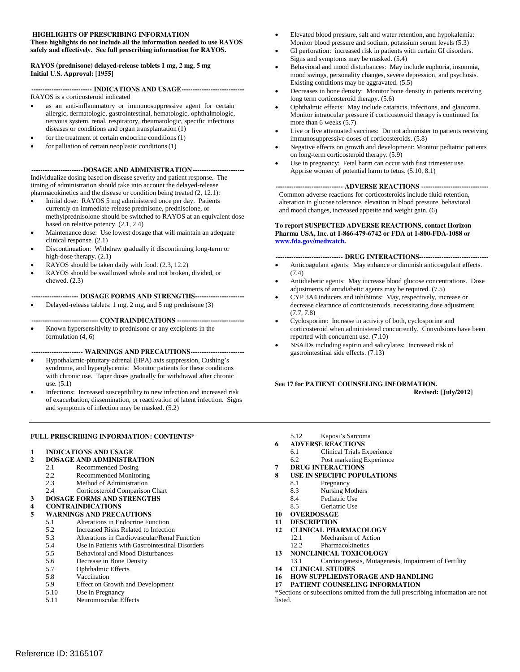#### **HIGHLIGHTS OF PRESCRIBING INFORMATION**

#### **These highlights do not include all the information needed to use RAYOS safely and effectively. See full prescribing information for RAYOS.**

## RAYOS (prednisone) delayed-release tablets 1 mg, 2 mg, 5 mg<br>Initial U.S. Approval: [1955]

#### RAYOS is a corticosteroid indicated **--------------------------- INDICATIONS AND USAGE----------------------------**

- • as an anti-inflammatory or immunosuppressive agent for certain allergic, dermatologic, gastrointestinal, hematologic, ophthalmologic, nervous system, renal, respiratory, rheumatologic, specific infectious diseases or conditions and organ transplantation (1)
- for the treatment of certain endocrine conditions (1)
- for palliation of certain neoplastic conditions (1)

#### **-----------------------DOSAGE AND ADMINISTRATION -----------------------**

 Individualize dosing based on disease severity and patient response. The timing of administration should take into account the delayed-release pharmacokinetics and the disease or condition being treated (2, 12.1):

- • Initial dose: RAYOS 5 mg administered once per day. Patients methylprednisolone should be switched to RAYOS at an equivalent dose based on relative potency. (2.1, 2.4) currently on immediate-release prednisone, prednisolone, or
- • Maintenance dose: Use lowest dosage that will maintain an adequate clinical response. (2.1)
- Discontinuation: Withdraw gradually if discontinuing long-term or high-dose therapy.  $(2.1)$
- RAYOS should be taken daily with food. (2.3, 12.2)
- • RAYOS should be swallowed whole and not broken, divided, or chewed. (2.3)
- **--------------------- DOSAGE FORMS AND STRENGTHS----------------------**
- Delayed-release tablets: 1 mg, 2 mg, and 5 mg prednisone (3)
- **------------------------------ CONTRAINDICATIONS ------------------------------**
- • Known hypersensitivity to prednisone or any excipients in the formulation (4, 6)
	- **----------------------- WARNINGS AND PRECAUTIONS------------------------**
- with chronic use. Taper doses gradually for withdrawal after chronic • Hypothalamic-pituitary-adrenal (HPA) axis suppression, Cushing's syndrome, and hyperglycemia: Monitor patients for these conditions use. (5.1)
- • Infections: Increased susceptibility to new infection and increased risk and symptoms of infection may be masked. (5.2) Intections: Increased susceptibility to new infection and increased risk<br>
of exacerbation, dissemination, or reactivation of latent infection. Signs<br>
and symptoms of infection may be masked. (5.2)<br> **EVILL PRESCRIBING INFOR** of exacerbation, dissemination, or reactivation of latent infection. Signs

#### **FULL PRESCRIBING INFORMATION: CONTENTS\***

**1 INDICATIONS AND USAGE** 

- **2 DOSAGE AND ADMINISTRATION** 
	- $2.1$ Recommended Dosing
	- $2.2$ Recommended Monitoring
	- 2.3 Method of Administration<br>2.4 Corticosteroid Comparison
	- 2.4 Corticosteroid Comparison Chart
- **3 DOSAGE FORMS AND STRENGTHS**

## **4 CONTRAINDICATIONS**

- **WARNINGS AND PRECAUTIONS**<br>5.1 Alterations in Endocrine Fu 5.1 Alterations in Endocrine Function
- 5.2 Increased Risks Related to Infection
- 
- 5.3 Alterations in Cardiovascular/Renal Function 5.4 Use in Patients with Gastrointestinal Disorders
- 5.5 Behavioral and Mood Disturbances
- 56 5.6 Decrease in Bone Density
- 5.7 Ophthalmic Effects
- 5.8 **Vaccination**
- 5.9 Effect on Growth and Development
- 5.10 Use in Pregnancy
- 5.11 Neuromuscular Effects
- **Elevated blood pressure, salt and water retention, and hypokalemia:**<br> **ZOS**<br> **COS**<br> **COS**<br> **COS**<br> **COS**<br> **COS**<br> **COS**<br> **COS**<br> **COS**<br> **COS**<br> **COS**<br> **COS**<br> **COS**<br> **COS**<br> **COS**<br> **COS**<br> **COS**<br> **COS**<br> **COS**<br> **COS**<br> **COS**<br> **COS** • Elevated blood pressure, salt and water retention, and hypokalemia: Monitor blood pressure and sodium, potassium serum levels (5.3)
	- • GI perforation: increased risk in patients with certain GI disorders. Signs and symptoms may be masked. (5.4)
- Exercibing information for RAYOS.<br>
Exercibing information for RAYOS.<br>
Exercibing information for RAYOS.<br>
Exercibition: increased risk in patients with certain GI disorders.<br>
Signs and symptoms may be masked. (5.4)<br>
Behavio mood swings, personality changes, severe depression, and psychosis. • Behavioral and mood disturbances: May include euphoria, insomnia, Existing conditions may be aggravated.  $(5.5)$ 
	- • Decreases in bone density: Monitor bone density in patients receiving long term corticosteroid therapy. (5.6)
	- • Ophthalmic effects: May include cataracts, infections, and glaucoma. Monitor intraocular pressure if corticosteroid therapy is continued for more than 6 weeks (5.7)
	- • Live or live attenuated vaccines: Do not administer to patients receiving immunosuppressive doses of corticosteroids. (5.8)
	- • Negative effects on growth and development: Monitor pediatric patients on long-term corticosteroid therapy. (5.9)
	- • Use in pregnancy: Fetal harm can occur with first trimester use. Apprise women of potential harm to fetus. (5.10, 8.1) Apprise women of potential harm to fetus. (5.10, 8.1)

#### **------------------------------ ADVERSE REACTIONS ------------------------------**

 Common adverse reactions for corticosteroids include fluid retention, alteration in glucose tolerance, elevation in blood pressure, behavioral and mood changes, increased appetite and weight gain. (6)

## *zyxyxum* ADVERSE REACTIONS<br> *zyxyzyxyxies* reactions for corticosteroids include fluid retention,<br>
in glucose tolerance, elevation in blood pressure, behavioral<br>
changes, increased appetite and weight gain. (6)<br> **SUSPECTE To report SUSPECTED ADVERSE REACTIONS, contact Horizon Pharma USA, Inc. at 1-866-479-6742 or FDA at 1-800-FDA-1088 or www.fda.gov/medwatch***.*

#### **------------------------------ DRUG INTERACTIONS-------------------------------**

- • Anticoagulant agents: May enhance or diminish anticoagulant effects. (7.4)
- Antidiabetic agents: May increase blood glucose concentrations. Dose adjustments of antidiabetic agents may be required. (7.5)
- CYP 3A4 inducers and inhibitors: May, respectively, increase or decrease clearance of corticosteroids, necessitating dose adjustment. (7.7, 7.8)
- • Cyclosporine: Increase in activity of both, cyclosporine and corticosteroid when administered concurrently. Convulsions have been reported with concurrent use. (7.10)
- • NSAIDs including aspirin and salicylates: Increased risk of gastrointestinal side effects. (7.13)

#### **See 17 for PATIENT COUNSELING INFORMATION. Revised: [July/2012]**

- 5.12 Kaposi's Sarcoma
- **6 ADVERSE REACTIONS** 
	- 6.1 Clinical Trials Experience<br>6.2 Post marketing Experience
- Post marketing Experience
- **7 DRUG INTERACTIONS**
- **8 USE IN SPECIFIC POPULATIONS** 
	- $\begin{array}{c} 8.1 \\ 8.3 \end{array}$ Pregnancy
	- Nursing Mothers
	- 84 Pediatric Use
	- 8.5 Geriatric Use **10 OVERDOSAGE**
- $10<sup>1</sup>$  $11$ **11 DESCRIPTION**
- **12 CLINICAL PHARMACOLOGY** 
	- 12.1 Mechanism of Action
	- 12.2 Pharmacokinetics
- $13$ **13 NONCLINICAL TOXICOLOGY**
- 13.1 Carcinogenesis, Mutagenesis, Impairment of Fertility
- $14$ **14 CLINICAL STUDIES**
- **16 HOW SUPPLIED/STORAGE AND HANDLING 17 PATIENT COUNSELING INFORMATION**

 \*Sections or subsections omitted from the full prescribing information are not listed.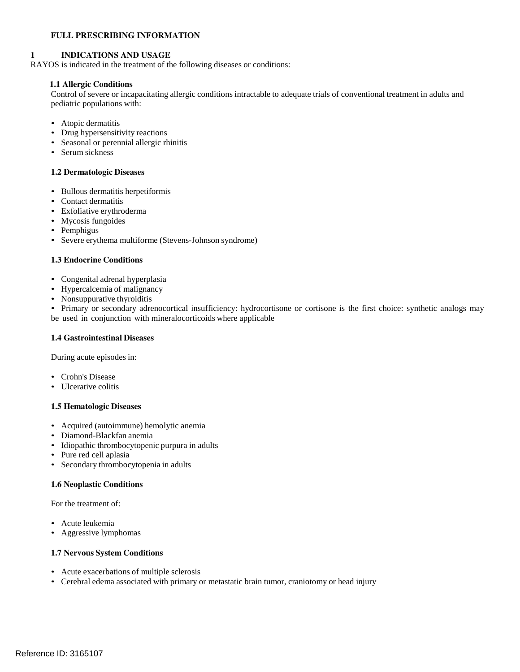## **FULL PRESCRIBING INFORMATION**

#### **1 INDICATIONS AND USAGE**

**zyxwvutsrqponmlkjihgfedcbaZYXWVUTSRQPONMLKJIHGFEDCBA** ATION<br>e following diseases or conditions: RAYOS is indicated in the treatment of the following diseases or conditions:

## **1.1 Allergic Conditions**

 Control of severe or incapacitating allergic conditions intractable to adequate trials of conventional treatment in adults and pediatric populations with:

- Atopic dermatitis
- Drug hypersensitivity reactions
- Seasonal or perennial allergic rhinitis
- Serum sickness

## **1.2 Dermatologic Diseases**

- Bullous dermatitis herpetiformis
- Contact dermatitis
- Exfoliative erythroderma
- Mycosis fungoides
- Pemphigus
- Severe erythema multiforme (Stevens-Johnson syndrome)

## **1.3 Endocrine Conditions**

- Congenital adrenal hyperplasia
- Hypercalcemia of malignancy
- Nonsuppurative thyroiditis

 $\bullet$  be used in conjunction with mineralocorticoids where applicable • Primary or secondary adrenocortical insufficiency: hydrocortisone or cortisone is the first choice: synthetic analogs may

#### **1.4 Gastrointestinal Diseases**

During acute episodes in:

- Crohn's Disease
- Ulcerative colitis

#### **1.5 Hematologic Diseases**

- Acquired (autoimmune) hemolytic anemia
- Diamond-Blackfan anemia
- Idiopathic thrombocytopenic purpura in adults
- Pure red cell aplasia
- Secondary thrombocytopenia in adults

#### **1.6 Neoplastic Conditions**

For the treatment of:

- Acute leukemia
- Aggressive lymphomas

#### **1.7 Nervous System Conditions**

- Acute exacerbations of multiple sclerosis
- Cerebral edema associated with primary or metastatic brain tumor, craniotomy or head injury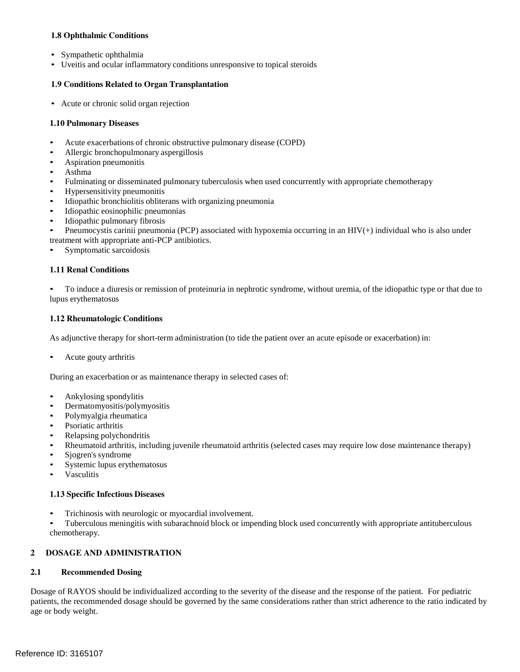## **Ophthalmic Conditions**<br>Sympathetic ophthalmia **1.8 Ophthalmic Conditions**

- Sympathetic ophthalmia
- Uveitis and ocular inflammatory conditions unresponsive to topical steroids

#### **1.9 Conditions Related to Organ Transplantation**

• Acute or chronic solid organ rejection

#### **1.10 Pulmonary Diseases**

- Acute exacerbations of chronic obstructive pulmonary disease (COPD)
- Allergic bronchopulmonary aspergillosis
- Aspiration pneumonitis
- Asthma
- Fulminating or disseminated pulmonary tuberculosis when used concurrently with appropriate chemotherapy
- Hypersensitivity pneumonitis
- Idiopathic bronchiolitis obliterans with organizing pneumonia
- Idiopathic eosinophilic pneumonias
- Idiopathic pulmonary fibrosis
- $\bullet$  treatment with appropriate anti-PCP antibiotics. • Pneumocystis carinii pneumonia (PCP) associated with hypoxemia occurring in an HIV(+) individual who is also under
- Symptomatic sarcoidosis

## **1.11 Renal Conditions**

 lupus erythematosus • To induce a diuresis or remission of proteinuria in nephrotic syndrome, without uremia, of the idiopathic type or that due to

#### **1.12 Rheumatologic Conditions**

As adjunctive therapy for short-term administration (to tide the patient over an acute episode or exacerbation) in:

• Acute gouty arthritis

During an exacerbation or as maintenance therapy in selected cases of:

- Ankylosing spondylitis
- Dermatomyositis/polymyositis
- $\bullet$ • Polymyalgia rheumatica
- Psoriatic arthritis
- Relapsing polychondritis
- $\bullet$ • Rheumatoid arthritis, including juvenile rheumatoid arthritis (selected cases may require low dose maintenance therapy)
- $\bullet$ • Sjogren's syndrome
- Systemic lupus erythematosus
- Vasculitis

#### **1.13 Specific Infectious Diseases**

- Trichinosis with neurologic or myocardial involvement.
- **23.13 Specific Infectious Diseases**<br> **•** Trichinosis with neurologic or myocardial involvement.<br> **•** Tuberculous meningitis with subarachnoid block or impending block used concurrently with appropriate antituberculous<br>
ch • Tuberculous meningitis with subarachnoid block or impending block used concurrently with appropriate antituberculous chemotherapy.

## **2 DOSAGE AND ADMINISTRATION**

#### **2.1 Recommended Dosing**

 Dosage of RAYOS should be individualized according to the severity of the disease and the response of the patient. For pediatric patients, the recommended dosage should be governed by the same considerations rather than strict adherence to the ratio indicated by age or body weight.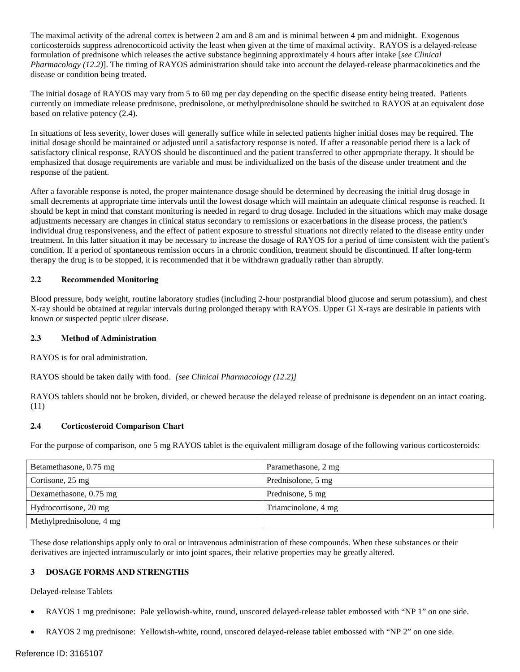The maximal activity of the adrenal cortex is between 2 am and 8 am and is minimal between 4 pm and midnight. Exogenous corticosteroids suppress adrenocorticoid activity the least when given at the time of maximal activity. RAYOS is a delayed-release formulation of prednisone which releases the active substance beginning approximately 4 hours after intake [*see Clinical Pharmacology (12.2)*]. The timing of RAYOS administration should take into account the delayed-release pharmacokinetics and the disease or condition being treated.

 The initial dosage of RAYOS may vary from 5 to 60 mg per day depending on the specific disease entity being treated. Patients currently on immediate release prednisone, prednisolone, or methylprednisolone should be switched to RAYOS at an equivalent dose based on relative potency (2.4).

based on relative potency (2.4).<br>In situations of less severity, lower doses will generally suffice while in selected patients higher initial doses may be required. The emphasized that dosage requirements are variable and must be individualized on the basis of the disease under treatment and the response of the patient. initial dosage should be maintained or adjusted until a satisfactory response is noted. If after a reasonable period there is a lack of satisfactory clinical response, RAYOS should be discontinued and the patient transferred to other appropriate therapy. It should be

response of the patient.<br>After a favorable response is noted, the proper maintenance dosage should be determined by decreasing the initial drug dosage in small decrements at appropriate time intervals until the lowest dosage which will maintain an adequate clinical response is reached. It should be kept in mind that constant monitoring is needed in regard to drug dosage. Included in the situations which may make dosage Example the stept in mind that constant monitoring is needed in regard to drug dosage. Included in the situations which may make dosage adjustments necessary are changes in clinical status secondary to remissions or exacer adjustments necessary are changes in clinical status secondary to remissions or exacerbations in the disease process, the patient's individual drug responsiveness, and the effect of patient exposure to stressful situations not directly related to the disease entity under treatment. In this latter situation it may be necessary to increase the dosage of RAYOS for a period of time consistent with the patient's condition. If a period of spontaneous remission occurs in a chronic condition, treatment should be discontinued. If after long-term therapy the drug is to be stopped, it is recommended that it be withdrawn gradually rather than abruptly.

#### **2.2 Recommended Monitoring**

 Blood pressure, body weight, routine laboratory studies (including 2-hour postprandial blood glucose and serum potassium), and chest X-ray should be obtained at regular intervals during prolonged therapy with RAYOS. Upper GI X-rays are desirable in patients with *zy zysykutsraponmlkiighted conclusion minimal parameters is dependent on an intact coating indeed or chewed because the delayed release of prednisone is dependent on an intact coating* known or suspected peptic ulcer disease.

#### **2.3 Method of Administration**

RAYOS is for oral administration.

RAYOS should be taken daily with food. *[see Clinical Pharmacology (12.2)]* 

RAYOS tablets should not be broken, divided, or chewed because the delayed release of prednisone is dependent on an intact coating. (11)

#### **2.4 Corticosteroid Comparison Chart**

For the purpose of comparison, one 5 mg RAYOS tablet is the equivalent milligram dosage of the following various corticosteroids:

| Betamethasone, 0.75 mg   | Paramethasone, 2 mg |  |  |
|--------------------------|---------------------|--|--|
| Cortisone, 25 mg         | Prednisolone, 5 mg  |  |  |
| Dexamethasone, 0.75 mg   | Prednisone, 5 mg    |  |  |
| Hydrocortisone, 20 mg    | Triamcinolone, 4 mg |  |  |
| Methylprednisolone, 4 mg |                     |  |  |

These dose relationships apply only to oral or intravenous administration of these compounds. When these substances or their<br>derivatives are injected intramuscularly or into joint spaces, their relative properties may be g These dose relationships apply only to oral or intravenous administration of these compounds. When these substances or their derivatives are injected intramuscularly or into joint spaces, their relative properties may be greatly altered.

#### **DOSAGE FORMS AND STRENGTHS 3**

Delayed-release Tablets

- RAYOS 1 mg prednisone: Pale yellowish-white, round, unscored delayed-release tablet embossed with "NP 1" on one side.
- RAYOS 2 mg prednisone: Yellowish-white, round, unscored delayed-release tablet embossed with "NP 2" on one side.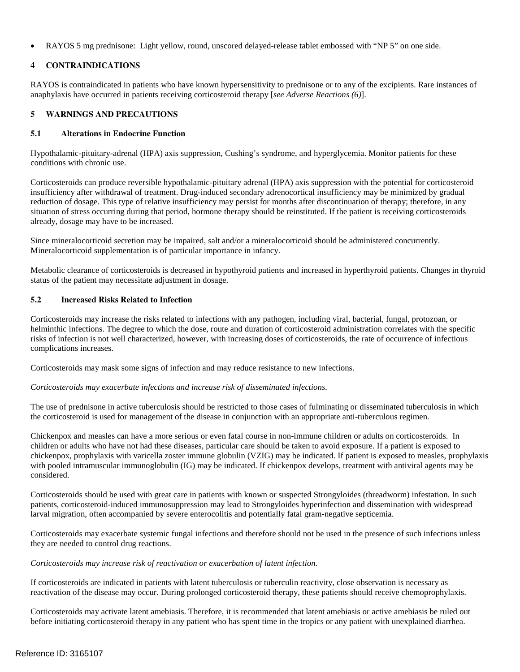RAYOS 5 mg prednisone: Light yellow, round, unscored delayed-release tablet embossed with "NP 5" on one side. • RAYOS 5 mg prednisone: Light yellow, round, unscored delayed-release tablet embossed with "NP 5" on one side.

## **4 CONTRAINDICATIONS**

 RAYOS is contraindicated in patients who have known hypersensitivity to prednisone or to any of the excipients. Rare instances of anaphylaxis have occurred in patients receiving corticosteroid therapy [*see Adverse Reactions (6)*].

#### **5 WARNINGS AND PRECAUTIONS**

#### **5.1 Alterations in Endocrine Function**

Hypothalamic-pituitary-adrenal (HPA) axis suppression, Cushing's syndrome, and hyperglycemia. Monitor patients for these conditions with chronic use.

 Corticosteroids can produce reversible hypothalamic-pituitary adrenal (HPA) axis suppression with the potential for corticosteroid insufficiency after withdrawal of treatment. Drug-induced secondary adrenocortical insufficiency may be minimized by gradual reduction of dosage. This type of relative insufficiency may persist for months after discontinuation of therapy; therefore, in any already, dosage may have to be increased. situation of stress occurring during that period, hormone therapy should be reinstituted. If the patient is receiving corticosteroids

Since mineralocorticoid secretion may be impaired, salt and/or a mineralocorticoid should be administered concurrently. Mineralocorticoid supplementation is of particular importance in infancy.

 status of the patient may necessitate adjustment in dosage. Metabolic clearance of corticosteroids is decreased in hypothyroid patients and increased in hyperthyroid patients. Changes in thyroid

#### **5.2 Increased Risks Related to Infection**

 Corticosteroids may increase the risks related to infections with any pathogen, including viral, bacterial, fungal, protozoan, or helminthic infections. The degree to which the dose, route and duration of corticosteroid administration correlates with the specific Corticosteroids may increase the risks related to infections with any pathogen, including viral, bacterial, fungal, protozoan, or nelminthic infections. The degree to which the dose, route and duration of corticosteroid ad risks of infection is not well characterized, however, with increasing doses of corticosteroids, the rate of occurrence of infectious complications increases.

Corticosteroids may mask some signs of infection and may reduce resistance to new infections.

#### *Corticosteroids may exacerbate infections and increase risk of disseminated infections.*

 The use of prednisone in active tuberculosis should be restricted to those cases of fulminating or disseminated tuberculosis in which the corticosteroid is used for management of the disease in conjunction with an appropriate anti-tuberculous regimen.

 Chickenpox and measles can have a more serious or even fatal course in non-immune children or adults on corticosteroids. In chickenpox, prophylaxis with varicella zoster immune globulin (VZIG) may be indicated. If patient is exposed to measles, prophylaxis with pooled intramuscular immunoglobulin (IG) may be indicated. If chickenpox develops, treatment with antiviral agents may be children or adults who have not had these diseases, particular care should be taken to avoid exposure. If a patient is exposed to considered.

 Corticosteroids should be used with great care in patients with known or suspected Strongyloides (threadworm) infestation. In such patients, corticosteroid-induced immunosuppression may lead to Strongyloides hyperinfection and dissemination with widespread larval migration, often accompanied by severe enterocolitis and potentially fatal gram-negative septicemia.

 Corticosteroids may exacerbate systemic fungal infections and therefore should not be used in the presence of such infections unless they are needed to control drug reactions.

#### *Corticosteroids may increase risk of reactivation or exacerbation of latent infection.*

 If corticosteroids are indicated in patients with latent tuberculosis or tuberculin reactivity, close observation is necessary as reactivation of the disease may occur. During prolonged corticosteroid therapy, these patients should receive chemoprophylaxis.

Corticosteroids may activate latent amebiasis. Therefore, it is recommended that latent amebiasis or active amebiasis be ruled out before initiating corticosteroid therapy in any patient who has spent time in the tropics or any patient with unexplained diarrhea.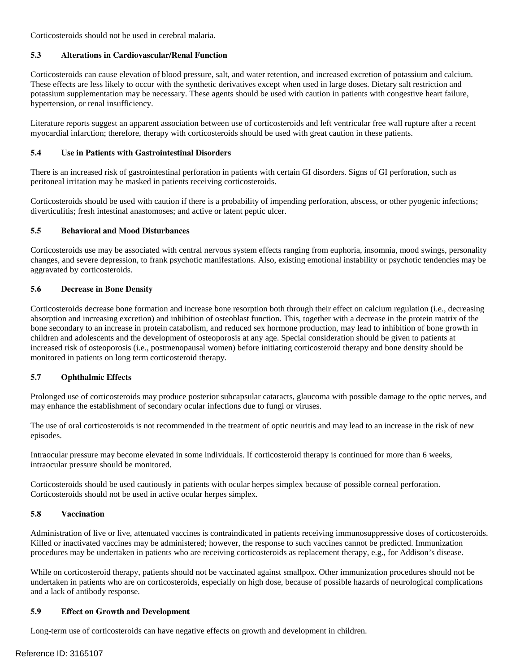Corticosteroids should not be used in cerebral malaria.

# **z**<br>and the contract of the contract of the contract of the contract of the contract of the contract of the contract of the contract of the contract of the contract of the contract of the contract of the contract of the co **5.3 Alterations in Cardiovascular/Renal Function**

Corticosteroids can cause elevation of blood pressure, salt, and water retention, and increased excretion of potassium and calcium. Corticosteroids can cause elevation of blood pressure, salt, and water retention, and increased excretion of potassium and calcium.<br>These effects are less likely to occur with the synthetic derivatives except when used in potassium supplementation may be necessary. These agents should be used with caution in patients with congestive heart failure, hypertension, or renal insufficiency.

 myocardial infarction; therefore, therapy with corticosteroids should be used with great caution in these patients. Literature reports suggest an apparent association between use of corticosteroids and left ventricular free wall rupture after a recent

## **5.4 Use in Patients with Gastrointestinal Disorders**

 peritoneal irritation may be masked in patients receiving corticosteroids. There is an increased risk of gastrointestinal perforation in patients with certain GI disorders. Signs of GI perforation, such as

Corticosteroids should be used with caution if there is a probability of impending perforation, abscess, or other pyogenic infections; diverticulitis; fresh intestinal anastomoses; and active or latent peptic ulcer.

## **5.5 Behavioral and Mood Disturbances**

 Corticosteroids use may be associated with central nervous system effects ranging from euphoria, insomnia, mood swings, personality changes, and severe depression, to frank psychotic manifestations. Also, existing emotional instability or psychotic tendencies may be aggravated by corticosteroids.

#### **5.6 Decrease in Bone Density**

 absorption and increasing excretion) and inhibition of osteoblast function. This, together with a decrease in the protein matrix of the bone secondary to an increase in protein catabolism, and reduced sex hormone production, may lead to inhibition of bone growth in increased risk of osteoporosis (i.e., postmenopausal women) before initiating corticosteroid therapy and bone density should be monitored in patients on long term corticosteroid therapy. Corticosteroids decrease bone formation and increase bone resorption both through their effect on calcium regulation (i.e., decreasing children and adolescents and the development of osteoporosis at any age. Special consideration should be given to patients at

#### **5.7 Ophthalmic Effects**

may enhance the establishment of secondary ocular infections due to fungi or viruses. Prolonged use of corticosteroids may produce posterior subcapsular cataracts, glaucoma with possible damage to the optic nerves, and

 may enhance the establishment of secondary ocular infections due to fungi or viruses. The use of oral corticosteroids is not recommended in the treatment of optic neuritis and may lead to an increase in the risk of new episodes.

episodes.<br>Intraocular pressure may become elevated in some individuals. If corticosteroid therapy is continued for more than 6 weeks, intraocular pressure should be monitored.

Corticosteroids should be used cautiously in patients with ocular herpes simplex because of possible corneal perforation. Corticosteroids should not be used in active ocular herpes simplex.

#### **5.8 Vaccination**

 Killed or inactivated vaccines may be administered; however, the response to such vaccines cannot be predicted. Immunization procedures may be undertaken in patients who are receiving corticosteroids as replacement therapy, e.g., for Addison's disease. Administration of live or live, attenuated vaccines is contraindicated in patients receiving immunosuppressive doses of corticosteroids.

 While on corticosteroid therapy, patients should not be vaccinated against smallpox. Other immunization procedures should not be undertaken in patients who are on corticosteroids, especially on high dose, because of possible hazards of neurological complications and a lack of antibody response.

## **5.9 Effect on Growth and Development**

Long-term use of corticosteroids can have negative effects on growth and development in children.

## Reference ID: 3165107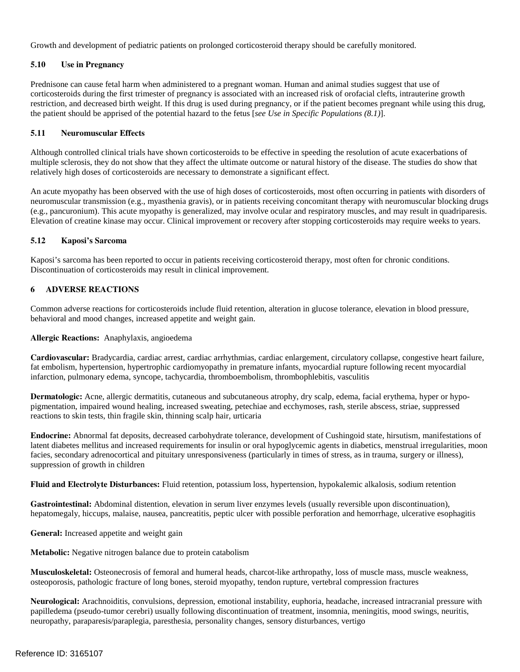nd development of pediatric patients on prolonged corticosteroid therapy should be carefully monitored.<br>Use in Pregnancy Growth and development of pediatric patients on prolonged corticosteroid therapy should be carefully monitored.

#### **5.10 Use in Pregnancy**

 Prednisone can cause fetal harm when administered to a pregnant woman. Human and animal studies suggest that use of restriction, and decreased birth weight. If this drug is used during pregnancy, or if the patient becomes pregnant while using this drug, corticosteroids during the first trimester of pregnancy is associated with an increased risk of orofacial clefts, intrauterine growth the patient should be apprised of the potential hazard to the fetus [*see Use in Specific Populations (8.1)*].

#### **5.11 Neuromuscular Effects**

 multiple sclerosis, they do not show that they affect the ultimate outcome or natural history of the disease. The studies do show that Although controlled clinical trials have shown corticosteroids to be effective in speeding the resolution of acute exacerbations of relatively high doses of corticosteroids are necessary to demonstrate a significant effect.

 An acute myopathy has been observed with the use of high doses of corticosteroids, most often occurring in patients with disorders of neuromuscular transmission (e.g., myasthenia gravis), or in patients receiving concomitant therapy with neuromuscular blocking drugs (e.g., pancuronium). This acute myopathy is generalized, may involve ocular and respiratory muscles, and may result in quadriparesis. Elevation of creatine kinase may occur. Clinical improvement or recovery after stopping corticosteroids may require weeks to years.

#### **5.12 Kaposi's Sarcoma**

Elevation of creatine kinase may occur. Clinical improvement or recovery after stopping corticosteroids may require weeks to years.<br>**Elevation of creatine kinase may occur.** Clinical improvement or recovery after stopping Kaposi's sarcoma has been reported to occur in patients receiving corticosteroid therapy, most often for chronic conditions. Discontinuation of corticosteroids may result in clinical improvement.

## **6 ADVERSE REACTIONS**

 Common adverse reactions for corticosteroids include fluid retention, alteration in glucose tolerance, elevation in blood pressure, behavioral and mood changes, increased appetite and weight gain.

#### **Allergic Reactions:** Anaphylaxis, angioedema

 fat embolism, hypertension, hypertrophic cardiomyopathy in premature infants, myocardial rupture following recent myocardial **Cardiovascular:** Bradycardia, cardiac arrest, cardiac arrhythmias, cardiac enlargement, circulatory collapse, congestive heart failure, infarction, pulmonary edema, syncope, tachycardia, thromboembolism, thrombophlebitis, vasculitis

 **Dermatologic:** Acne, allergic dermatitis, cutaneous and subcutaneous atrophy, dry scalp, edema, facial erythema, hyper or hypo- pigmentation, impaired wound healing, increased sweating, petechiae and ecchymoses, rash, sterile abscess, striae, suppressed reactions to skin tests, thin fragile skin, thinning scalp hair, urticaria

 **Endocrine:** Abnormal fat deposits, decreased carbohydrate tolerance, development of Cushingoid state, hirsutism, manifestations of latent diabetes mellitus and increased requirements for insulin or oral hypoglycemic agents in diabetics, menstrual irregularities, moon facies, secondary adrenocortical and pituitary unresponsiveness (particularly in times of stress, as in trauma, surgery or illness), suppression of growth in children

#### **Fluid and Electrolyte Disturbances:** Fluid retention, potassium loss, hypertension, hypokalemic alkalosis, sodium retention

 **Gastrointestinal:** Abdominal distention, elevation in serum liver enzymes levels (usually reversible upon discontinuation), hepatomegaly, hiccups, malaise, nausea, pancreatitis, peptic ulcer with possible perforation and hemorrhage, ulcerative esophagitis

**General:** Increased appetite and weight gain

**Metabolic:** Negative nitrogen balance due to protein catabolism

 **Musculoskeletal:** Osteonecrosis of femoral and humeral heads, charcot-like arthropathy, loss of muscle mass, muscle weakness, osteoporosis, pathologic fracture of long bones, steroid myopathy, tendon rupture, vertebral compression fractures

 papilledema (pseudo-tumor cerebri) usually following discontinuation of treatment, insomnia, meningitis, mood swings, neuritis, neuropathy, paraparesis/paraplegia, paresthesia, personality changes, sensory disturbances, vertigo **Neurological:** Arachnoiditis, convulsions, depression, emotional instability, euphoria, headache, increased intracranial pressure with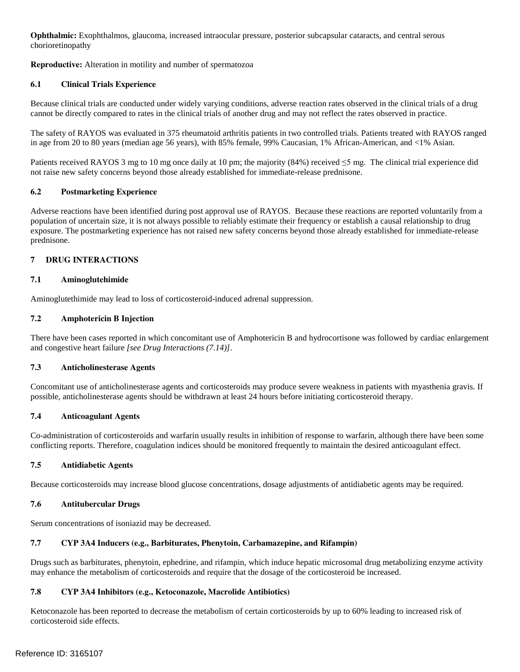**2)<br>Dphthalmic:** Exophthalmos, glaucoma, increased intraocular pressure, posterior subcapsular cataracts, and central serous<br>Re**productive:** Alteration in motility and number of spermatozoa **Ophthalmic:** Exophthalmos, glaucoma, increased intraocular pressure, posterior subcapsular cataracts, and central serous chorioretinopathy

**Reproductive:** Alteration in motility and number of spermatozoa

#### **6.1 Clinical Trials Experience**

 Because clinical trials are conducted under widely varying conditions, adverse reaction rates observed in the clinical trials of a drug cannot be directly compared to rates in the clinical trials of another drug and may not reflect the rates observed in practice.

 The safety of RAYOS was evaluated in 375 rheumatoid arthritis patients in two controlled trials. Patients treated with RAYOS ranged in age from 20 to 80 years (median age 56 years), with 85% female, 99% Caucasian, 1% African-American, and <1% Asian. **Finds of RAYOS** was evaluated in 375 rheumatoid arthritis patients in two controlled trials. Patients treated with RAYOS ranged in age from 20 to 80 years (median age 56 years), with 85% female, 99% Caucasian, 1% African

Patients received RAYOS 3 mg to 10 mg once daily at 10 pm; the majority (84%) received ≤5 mg. The clinical trial experience did not raise new safety concerns beyond those already established for immediate-release prednisone.

#### **6.2 Postmarketing Experience**

 exposure. The postmarketing experience has not raised new safety concerns beyond those already established for immediate-release Adverse reactions have been identified during post approval use of RAYOS. Because these reactions are reported voluntarily from a population of uncertain size, it is not always possible to reliably estimate their frequency or establish a causal relationship to drug prednisone.

#### **7 DRUG INTERACTIONS**

#### **7.1 Aminoglutehimide**

Aminoglutethimide may lead to loss of corticosteroid-induced adrenal suppression.

#### **7.2 Amphotericin B Injection**

 There have been cases reported in which concomitant use of Amphotericin B and hydrocortisone was followed by cardiac enlargement and congestive heart failure *[see Drug Interactions (7.14)]*.

#### **7.3 Anticholinesterase Agents**

 Concomitant use of anticholinesterase agents and corticosteroids may produce severe weakness in patients with myasthenia gravis. If possible, anticholinesterase agents should be withdrawn at least 24 hours before initiating corticosteroid therapy.

#### **7.4 Anticoagulant Agents**

 Co-administration of corticosteroids and warfarin usually results in inhibition of response to warfarin, although there have been some conflicting reports. Therefore, coagulation indices should be monitored frequently to maintain the desired anticoagulant effect.

#### **7.5 Antidiabetic Agents**

Because corticosteroids may increase blood glucose concentrations, dosage adjustments of antidiabetic agents may be required.

#### **7.6 Antitubercular Drugs**

Serum concentrations of isoniazid may be decreased.

#### **7.7 CYP 3A4 Inducers (e.g., Barbiturates, Phenytoin, Carbamazepine, and Rifampin)**

 Drugs such as barbiturates, phenytoin, ephedrine, and rifampin, which induce hepatic microsomal drug metabolizing enzyme activity may enhance the metabolism of corticosteroids and require that the dosage of the corticosteroid be increased.

#### **7.8 CYP 3A4 Inhibitors (e.g., Ketoconazole, Macrolide Antibiotics)**

Ketoconazole has been reported to decrease the metabolism of certain corticosteroids by up to 60% leading to increased risk of corticosteroid side effects.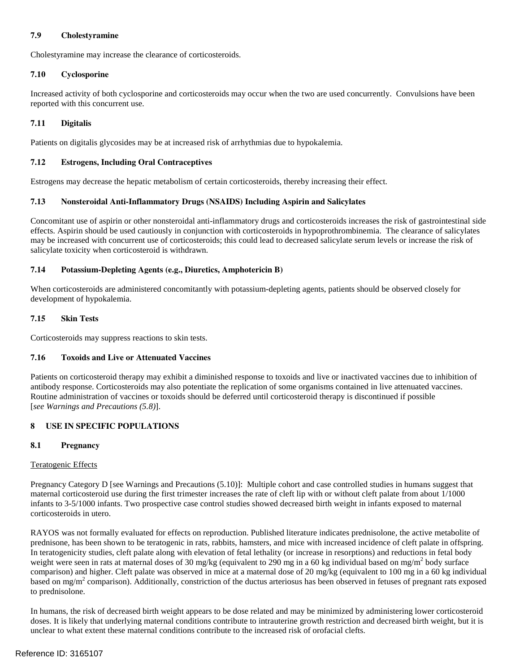## **7.9 Cholestyramine**

zyxwvutsrqponmlkjihgfedcbaZYXWVUTSRQPONMLKJIHGFEDCBACholestyramine may increase the clearance of corticosteroids.

#### **7.10 Cyclosporine**

 Increased activity of both cyclosporine and corticosteroids may occur when the two are used concurrently. Convulsions have been reported with this concurrent use.

#### **7.11 Digitalis**

Patients on digitalis glycosides may be at increased risk of arrhythmias due to hypokalemia.

## **7.12 Estrogens, Including Oral Contraceptives**

Estrogens may decrease the hepatic metabolism of certain corticosteroids, thereby increasing their effect.

## **7.13 Nonsteroidal Anti-Inflammatory Drugs (NSAIDS) Including Aspirin and Salicylates**

 Concomitant use of aspirin or other nonsteroidal anti-inflammatory drugs and corticosteroids increases the risk of gastrointestinal side effects. Aspirin should be used cautiously in conjunction with corticosteroids in hypoprothrombinemia. The clearance of salicylates may be increased with concurrent use of corticosteroids; this could lead to decreased salicylate serum levels or increase the risk of salicylate toxicity when corticosteroid is withdrawn.

#### **7.14 Potassium-Depleting Agents (e.g., Diuretics, Amphotericin B)**

 When corticosteroids are administered concomitantly with potassium-depleting agents, patients should be observed closely for development of hypokalemia.

#### *Skin Tests*

Corticosteroids may suppress reactions to skin tests.

#### **7.16 Toxoids and Live or Attenuated Vaccines**

**z**<br>**z z z z** *z* **<b>z** *z z* **<b>***z z z z z z z z z z z z z z z z z z z z z z z z z z z z z z* Patients on corticosteroid therapy may exhibit a diminished response to toxoids and live or inactivated vaccines due to inhibition of antibody response. Corticosteroids may also potentiate the replication of some organisms contained in live attenuated vaccines. Routine administration of vaccines or toxoids should be deferred until corticosteroid therapy is discontinued if possible [*see Warnings and Precautions (5.8)*].

## **8 USE IN SPECIFIC POPULATIONS**

#### **8.1 Pregnancy**

#### Teratogenic Effects

 Pregnancy Category D [see Warnings and Precautions (5.10)]: Multiple cohort and case controlled studies in humans suggest that maternal corticosteroid use during the first trimester increases the rate of cleft lip with or without cleft palate from about 1/1000 corticosteroids in utero. infants to 3-5/1000 infants. Two prospective case control studies showed decreased birth weight in infants exposed to maternal

prednisone, has been shown to be teratogenic in rats, rabbits, hamsters, and mice with increased incidence of cleft palate in offspring. prednisone, has been shown to be teratogenic in rats, rabbits, hamsters, and mice with increased incidence of cleft palate in offspring.<br>In teratogenicity studies, cleft palate along with elevation of fetal lethality (or i weight were seen in rats at maternal doses of 30 mg/kg (equivalent to 290 mg in a 60 kg individual based on mg/m<sup>2</sup> body surface comparison) and higher. Cleft palate was observed in mice at a maternal dose of 20 mg/kg (equivalent to 100 mg in a 60 kg individual RAYOS was not formally evaluated for effects on reproduction. Published literature indicates prednisolone, the active metabolite of based on mg/m<sup>2</sup> comparison). Additionally, constriction of the ductus arteriosus has been observed in fetuses of pregnant rats exposed to prednisolone.

 doses. It is likely that underlying maternal conditions contribute to intrauterine growth restriction and decreased birth weight, but it is unclear to what extent these maternal conditions contribute to the increased risk of orofacial clefts. In humans, the risk of decreased birth weight appears to be dose related and may be minimized by administering lower corticosteroid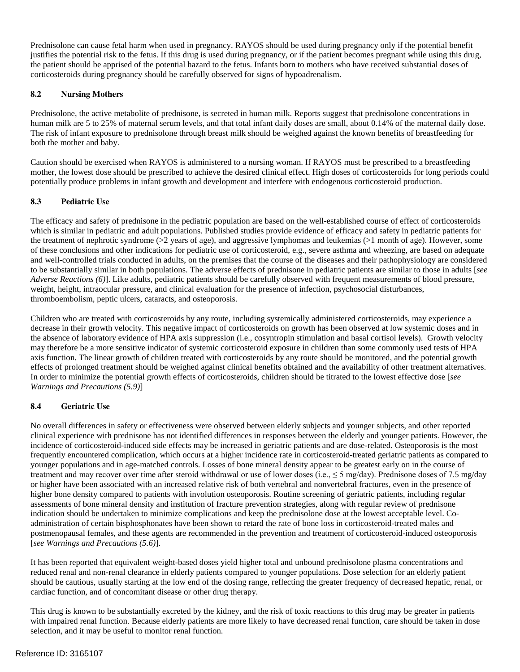Prednisolone can cause fetal harm when used in pregnancy. RAYOS should be used during pregnancy only if the potential benefit justifies the potential risk to the fetus. If this drug is used during pregnancy, or if the patient becomes pregnant while using this drug, Prednisolone can cause fetal harm when used in pregnancy. RAYOS should be used during pregnancy only if the potential benefit ustifies the potential risk to the fetus. If this drug is used during pregnancy, or if the patie the patient should be apprised of the potential hazard to the fetus. Infants born to mothers who have received substantial doses of corticosteroids during pregnancy should be carefully observed for signs of hypoadrenalism.

## **8.2 Nursing Mothers**

 Prednisolone, the active metabolite of prednisone, is secreted in human milk. Reports suggest that prednisolone concentrations in human milk are 5 to 25% of maternal serum levels, and that total infant daily doses are small, about 0.14% of the maternal daily dose. The risk of infant exposure to prednisolone through breast milk should be weighed against the known benefits of breastfeeding for both the mother and baby.

Caution should be exercised when RAYOS is administered to a nursing woman. If RAYOS must be prescribed to a breastfeeding mother, the lowest dose should be prescribed to achieve the desired clinical effect. High doses of corticosteroids for long periods could potentially produce problems in infant growth and development and interfere with endogenous corticosteroid production.

#### **8.3 Pediatric Use**

 The efficacy and safety of prednisone in the pediatric population are based on the well-established course of effect of corticosteroids which is similar in pediatric and adult populations. Published studies provide evidence of efficacy and safety in pediatric patients for *Adverse Reactions (6)*]. Like adults, pediatric patients should be carefully observed with frequent measurements of blood pressure, the treatment of nephrotic syndrome (>2 years of age), and aggressive lymphomas and leukemias (>1 month of age). However, some of these conclusions and other indications for pediatric use of corticosteroid, e.g., severe asthma and wheezing, are based on adequate and well-controlled trials conducted in adults, on the premises that the course of the diseases and their pathophysiology are considered to be substantially similar in both populations. The adverse effects of prednisone in pediatric patients are similar to those in adults [*see*  weight, height, intraocular pressure, and clinical evaluation for the presence of infection, psychosocial disturbances, thromboembolism, peptic ulcers, cataracts, and osteoporosis.

 Children who are treated with corticosteroids by any route, including systemically administered corticosteroids, may experience a decrease in their growth velocity. This negative impact of corticosteroids on growth has been observed at low systemic doses and in the absence of laboratory evidence of HPA axis suppression (i.e., cosyntropin stimulation and basal cortisol levels). Growth velocity may therefore be a more sensitive indicator of systemic corticosteroid exposure in children than some commonly used tests of HPA axis function. The linear growth of children treated with corticosteroids by any route should be monitored, and the potential growth effects of prolonged treatment should be weighed against clinical benefits obtained and the availability of other treatment alternatives. In order to minimize the potential growth effects of corticosteroids, children should be titrated to the lowest effective dose [see *Warnings and Precautions (5.9)*]

#### **8.4 Geriatric Use**

 No overall differences in safety or effectiveness were observed between elderly subjects and younger subjects, and other reported treatment and may recover over time after steroid withdrawal or use of lower doses (i.e., ≤ 5 mg/day). Prednisone doses of 7.5 mg/day or higher have been associated with an increased relative risk of both vertebral and nonvertebral fractures, even in the presence of assessments of bone mineral density and institution of fracture prevention strategies, along with regular review of prednisone indication should be undertaken to minimize complications and keep the prednisolone dose at the lowest acceptable level. Coclinical experience with prednisone has not identified differences in responses between the elderly and younger patients. However, the incidence of corticosteroid-induced side effects may be increased in geriatric patients and are dose-related. Osteoporosis is the most frequently encountered complication, which occurs at a higher incidence rate in corticosteroid-treated geriatric patients as compared to younger populations and in age-matched controls. Losses of bone mineral density appear to be greatest early on in the course of higher bone density compared to patients with involution osteoporosis. Routine screening of geriatric patients, including regular administration of certain bisphosphonates have been shown to retard the rate of bone loss in corticosteroid-treated males and postmenopausal females, and these agents are recommended in the prevention and treatment of corticosteroid-induced osteoporosis [*see Warnings and Precautions (5.6)*].

 reduced renal and non-renal clearance in elderly patients compared to younger populations. Dose selection for an elderly patient It has been reported that equivalent weight-based doses yield higher total and unbound prednisolone plasma concentrations and should be cautious, usually starting at the low end of the dosing range, reflecting the greater frequency of decreased hepatic, renal, or cardiac function, and of concomitant disease or other drug therapy.

 This drug is known to be substantially excreted by the kidney, and the risk of toxic reactions to this drug may be greater in patients with impaired renal function. Because elderly patients are more likely to have decreased renal function, care should be taken in dose selection, and it may be useful to monitor renal function.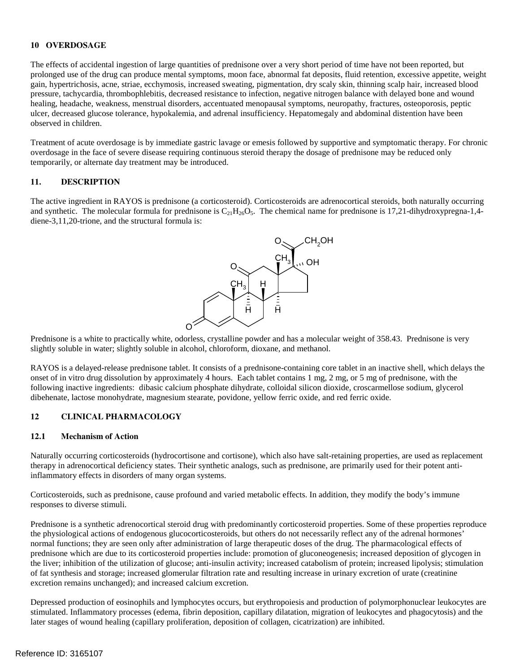## **z**<br>**zy zysykoponmentalisty constrained by the constraint of the constraint of the constraint of the constraint of the constraint of the constraint of the constraint of the constraint of the constraint of the constraint 10 OVERDOSAGE**

 prolonged use of the drug can produce mental symptoms, moon face, abnormal fat deposits, fluid retention, excessive appetite, weight gain, hypertrichosis, acne, striae, ecchymosis, increased sweating, pigmentation, dry scaly skin, thinning scalp hair, increased blood healing, headache, weakness, menstrual disorders, accentuated menopausal symptoms, neuropathy, fractures, osteoporosis, peptic The effects of accidental ingestion of large quantities of prednisone over a very short period of time have not been reported, but pressure, tachycardia, thrombophlebitis, decreased resistance to infection, negative nitrogen balance with delayed bone and wound ulcer, decreased glucose tolerance, hypokalemia, and adrenal insufficiency. Hepatomegaly and abdominal distention have been observed in children.

Treatment of acute overdosage is by immediate gastric lavage or emesis followed by supportive and symptomatic therapy. For chronic overdosage in the face of severe disease requiring continuous steroid therapy the dosage of prednisone may be reduced only temporarily, or alternate day treatment may be introduced.

#### **11. DESCRIPTION**

 The active ingredient in RAYOS is prednisone (a corticosteroid). Corticosteroids are adrenocortical steroids, both naturally occurring diene-3,11,20-trione, and the structural formula is: and synthetic. The molecular formula for prednisone is  $C_{21}H_{26}O_5$ . The chemical name for prednisone is 17,21-dihydroxypregna-1,4-



 Prednisone is a white to practically white, odorless, crystalline powder and has a molecular weight of 358.43. Prednisone is very slightly soluble in water; slightly soluble in alcohol, chloroform, dioxane, and methanol.

 RAYOS is a delayed-release prednisone tablet. It consists of a prednisone-containing core tablet in an inactive shell, which delays the onset of in vitro drug dissolution by approximately 4 hours. Each tablet contains 1 mg, 2 mg, or 5 mg of prednisone, with the following inactive ingredients: dibasic calcium phosphate dihydrate, colloidal silicon dioxide, croscarmellose sodium, glycerol dibehenate, lactose monohydrate, magnesium stearate, povidone, yellow ferric oxide, and red ferric oxide.

#### **12 CLINICAL PHARMACOLOGY**

#### **12.1 Mechanism of Action**

 Naturally occurring corticosteroids (hydrocortisone and cortisone), which also have salt-retaining properties, are used as replacement inflammatory effects in disorders of many organ systems. therapy in adrenocortical deficiency states. Their synthetic analogs, such as prednisone, are primarily used for their potent anti-

inflammatory effects in disorders of many organ systems.<br>Corticosteroids, such as prednisone, cause profound and varied metabolic effects. In addition, they modify the body's immune responses to diverse stimuli.

 the liver; inhibition of the utilization of glucose; anti-insulin activity; increased catabolism of protein; increased lipolysis; stimulation of fat synthesis and storage; increased glomerular filtration rate and resulting increase in urinary excretion of urate (creatinine excretion remains unchanged); and increased calcium excretion. Prednisone is a synthetic adrenocortical steroid drug with predominantly corticosteroid properties. Some of these properties reproduce the physiological actions of endogenous glucocorticosteroids, but others do not necessarily reflect any of the adrenal hormones' normal functions; they are seen only after administration of large therapeutic doses of the drug. The pharmacological effects of prednisone which are due to its corticosteroid properties include: promotion of gluconeogenesis; increased deposition of glycogen in

 stimulated. Inflammatory processes (edema, fibrin deposition, capillary dilatation, migration of leukocytes and phagocytosis) and the Depressed production of eosinophils and lymphocytes occurs, but erythropoiesis and production of polymorphonuclear leukocytes are later stages of wound healing (capillary proliferation, deposition of collagen, cicatrization) are inhibited.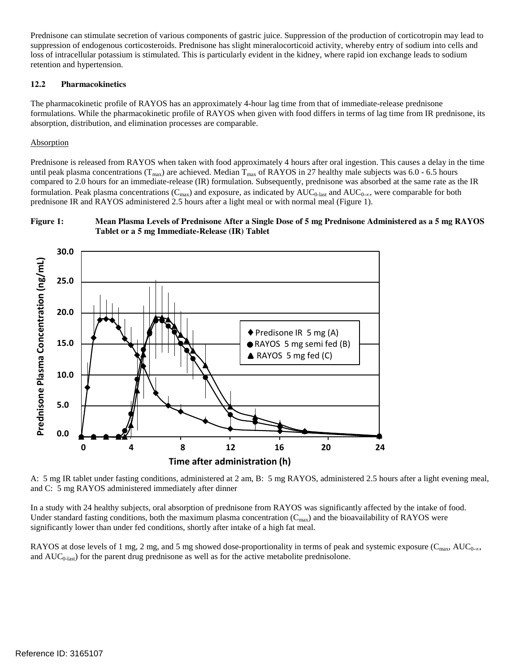Prednisone can stimulate secretion of various components of gastric juice. Suppression of the production of corticotropin may lead to suppression of endogenous corticosteroids. Prednisone has slight mineralocorticoid activity, whereby entry of sodium into cells and Prednisone can stimulate secretion of various components of gastric juice. Suppression of the production of corticotropin may lead to<br>suppression of endogenous corticosteroids. Prednisone has slight mineralocorticoid activ loss of intracellular potassium is stimulated. This is particularly evident in the kidney, where rapid ion exchange leads to sodium retention and hypertension.

## **12.2 Pharmacokinetics**

 The pharmacokinetic profile of RAYOS has an approximately 4-hour lag time from that of immediate-release prednisone absorption, distribution, and elimination processes are comparable. formulations. While the pharmacokinetic profile of RAYOS when given with food differs in terms of lag time from IR prednisone, its

#### Absorption

until peak plasma concentrations ( $T_{max}$ ) are achieved. Median  $T_{max}$  of RAYOS in 27 healthy male subjects was 6.0 - 6.5 hours formulation. Peak plasma concentrations ( $C_{\text{max}}$ ) and exposure, as indicated by  $AUC_{0-1}$ <sub>ast</sub> and  $AUC_{0-\infty}$ , were comparable for both prednisone IR and RAYOS administered 2.5 hours after a light meal or with normal meal (Figure 1). Prednisone is released from RAYOS when taken with food approximately 4 hours after oral ingestion. This causes a delay in the time compared to 2.0 hours for an immediate-release (IR) formulation. Subsequently, prednisone was absorbed at the same rate as the IR

#### **Figure 1: Mean Plasma Levels of Prednisone After a Single Dose of 5 mg Prednisone Administered as a 5 mg RAYOS Tablet or a 5 mg Immediate-Release (IR) Tablet**



 A: 5 mg IR tablet under fasting conditions, administered at 2 am, B: 5 mg RAYOS, administered 2.5 hours after a light evening meal, and C: 5 mg RAYOS administered immediately after dinner

Under standard fasting conditions, both the maximum plasma concentration  $(C_{max})$  and the bioavailability of RAYOS were significantly lower than under fed conditions, shortly after intake of a high fat meal. In a study with 24 healthy subjects, oral absorption of prednisone from RAYOS was significantly affected by the intake of food.

and  $AUC_{0\text{-last}}$ ) for the parent drug prednisone as well as for the active metabolite prednisolone. RAYOS at dose levels of 1 mg, 2 mg, and 5 mg showed dose-proportionality in terms of peak and systemic exposure ( $C_{\text{max}}$ , AU $C_{0-\infty}$ ,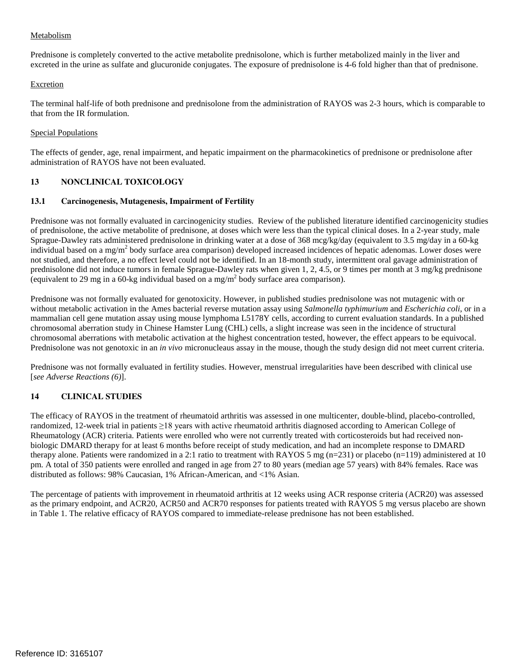#### Metabolism

 Prednisone is completely converted to the active metabolite prednisolone, which is further metabolized mainly in the liver and excreted in the urine as sulfate and glucuronide conjugates. The exposure of prednisolone is 4-6 fold higher than that of prednisone.

#### Excretion

 The terminal half-life of both prednisone and prednisolone from the administration of RAYOS was 2-3 hours, which is comparable to that from the IR formulation.

#### Special Populations

**z**<br> **zyxterior** the IR formulation.<br> **zystem** IR formulation.<br> **zystem** Populations<br> **zystem** Populations<br> **zystem** Populations<br> **zystem** Populations<br> **zystem** Populations<br> **zystem** Population of RAYOS have not been evalu The effects of gender, age, renal impairment, and hepatic impairment on the pharmacokinetics of prednisone or prednisolone after administration of RAYOS have not been evaluated.

#### **NONCLINICAL TOXICOLOGY**

## **13 NONCLINICAL TOXICOLOGY 13.1 Carcinogenesis, Mutagenesis, Impairment of Fertility**

 Prednisone was not formally evaluated in carcinogenicity studies. Review of the published literature identified carcinogenicity studies of prednisolone, the active metabolite of prednisone, at doses which were less than the typical clinical doses. In a 2-year study, male not studied, and therefore, a no effect level could not be identified. In an 18-month study, intermittent oral gavage administration of prednisolone did not induce tumors in female Sprague-Dawley rats when given 1, 2, 4.5, or 9 times per month at 3 mg/kg prednisone (equivalent to 29 mg in a 60-kg individual based on a mg/m<sup>2</sup> body surface area comparison). Sprague-Dawley rats administered prednisolone in drinking water at a dose of 368 mcg/kg/day (equivalent to 3.5 mg/day in a 60-kg individual based on a mg/m<sup>2</sup> body surface area comparison) developed increased incidences of hepatic adenomas. Lower doses were

 Prednisone was not formally evaluated for genotoxicity. However, in published studies prednisolone was not mutagenic with or without metabolic activation in the Ames bacterial reverse mutation assay using *Salmonella typhimurium* and *Escherichia coli*, or in a chromosomal aberrations with metabolic activation at the highest concentration tested, however, the effect appears to be equivocal. Prednisolone was not genotoxic in an *in vivo* micronucleaus assay in the mouse, though the study design did not meet current criteria. *zhetichia coli,* or in a dards. In a published of structural rs to be equivocal.<br>The poster control of structural rs to be equivocal.<br>The control control control of the control of the control of the control of the control mammalian cell gene mutation assay using mouse lymphoma L5178Y cells, according to current evaluation standards. In a published chromosomal aberration study in Chinese Hamster Lung (CHL) cells, a slight increase was seen in the incidence of structural

 [*see Adverse Reactions (6)*]. Prednisone was not formally evaluated in fertility studies. However, menstrual irregularities have been described with clinical use

#### **14 CLINICAL STUDIES**

 The efficacy of RAYOS in the treatment of rheumatoid arthritis was assessed in one multicenter, double-blind, placebo-controlled, randomized, 12-week trial in patients ≥18 years with active rheumatoid arthritis diagnosed according to American College of Rheumatology (ACR) criteria. Patients were enrolled who were not currently treated with corticosteroids but had received non- biologic DMARD therapy for at least 6 months before receipt of study medication, and had an incomplete response to DMARD therapy alone. Patients were randomized in a 2:1 ratio to treatment with RAYOS 5 mg (n=231) or placebo (n=119) administered at 10 pm. A total of 350 patients were enrolled and ranged in age from 27 to 80 years (median age 57 years) with 84% females. Race was distributed as follows: 98% Caucasian, 1% African-American, and <1% Asian.

distributed as follows: 98% Caucasian, 1% African-American, and <1% Asian.<br>The percentage of patients with improvement in rheumatoid arthritis at 12 weeks using ACR response criteria (ACR20) was assessed as the primary endpoint, and ACR20, ACR50 and ACR70 responses for patients treated with RAYOS 5 mg versus placebo are shown in Table 1. The relative efficacy of RAYOS compared to immediate-release prednisone has not been established.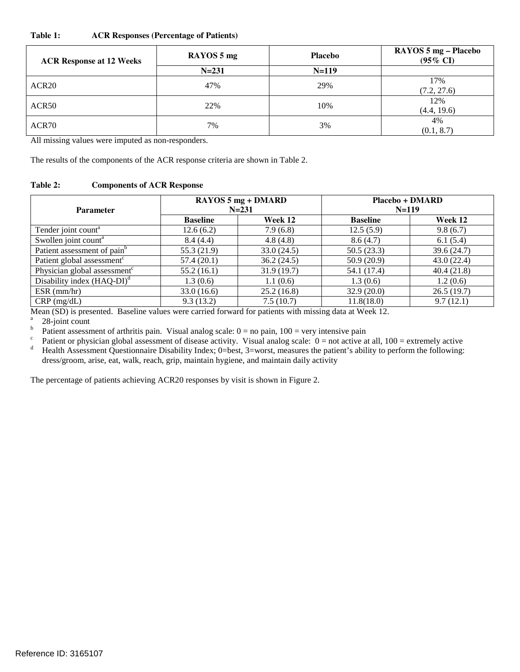#### **Table 1: ACR Responses (Percentage of Patients)**

| Table 1: ACR Responses (Percentage of Patients) |            |                |                                             |
|-------------------------------------------------|------------|----------------|---------------------------------------------|
| <b>ACR Response at 12 Weeks</b>                 | RAYOS 5 mg | <b>Placebo</b> | RAYOS 5 mg - Placebo<br>$(95\% \text{ CI})$ |
|                                                 |            | $N=119$        |                                             |
| ACR20                                           | 47%        | 29%            | (7.2, 27.6)                                 |
| ACR50                                           | $22\%$     | 10%            | (4.4, 19.6)                                 |
| ACR70                                           |            |                | (0.1, 8.7)                                  |

All missing values were imputed as non-responders.

The results of the components of the ACR response criteria are shown in Table 2.

#### **Table 2: Components of ACR Response**

| <b>Parameter</b>                         | $RAYOS 5 mg + DMARD$<br>$N = 231$ |            | <b>Placebo + DMARD</b><br>$N=119$ |             |
|------------------------------------------|-----------------------------------|------------|-----------------------------------|-------------|
|                                          | <b>Baseline</b>                   | Week 12    | <b>Baseline</b>                   | Week 12     |
| Tender joint count <sup>a</sup>          | 12.6(6.2)                         | 7.9(6.8)   | 12.5(5.9)                         | 9.8(6.7)    |
| Swollen joint count <sup>a</sup>         | 8.4(4.4)                          | 4.8(4.8)   | 8.6(4.7)                          | 6.1(5.4)    |
| Patient assessment of pain <sup>b</sup>  | 55.3 (21.9)                       | 33.0(24.5) | 50.5(23.3)                        | 39.6 (24.7) |
| Patient global assessment <sup>c</sup>   | 57.4(20.1)                        | 36.2(24.5) | 50.9(20.9)                        | 43.0(22.4)  |
| Physician global assessment <sup>c</sup> | 55.2(16.1)                        | 31.9(19.7) | 54.1 (17.4)                       | 40.4(21.8)  |
| Disability index $(HAQ-DI)^d$            | 1.3(0.6)                          | 1.1(0.6)   | 1.3(0.6)                          | 1.2(0.6)    |
| $ESR$ (mm/hr)                            | 33.0(16.6)                        | 25.2(16.8) | 32.9(20.0)                        | 26.5(19.7)  |
| $CRP$ (mg/dL)                            | 9.3(13.2)                         | 7.5(10.7)  | 11.8(18.0)                        | 9.7(12.1)   |

Mean (SD) is presented. Baseline values were carried forward for patients with missing data at Week 12.

 $\frac{a}{b}$ 28-joint count

Patient assessment of arthritis pain. Visual analog scale:  $0 =$  no pain,  $100 =$  very intensive pain

Patient or physician global assessment of disease activity. Visual analog scale:  $0 =$  not active at all,  $100 =$  extremely active  $\mathbf c$ 

 $d$  Health Assessment Questionnaire Disability Index; 0=best, 3=worst, measures the patient's ability to perform the following: dress/groom, arise, eat, walk, reach, grip, maintain hygiene, and maintain daily activity

The percentage of patients achieving ACR20 responses by visit is shown in Figure 2.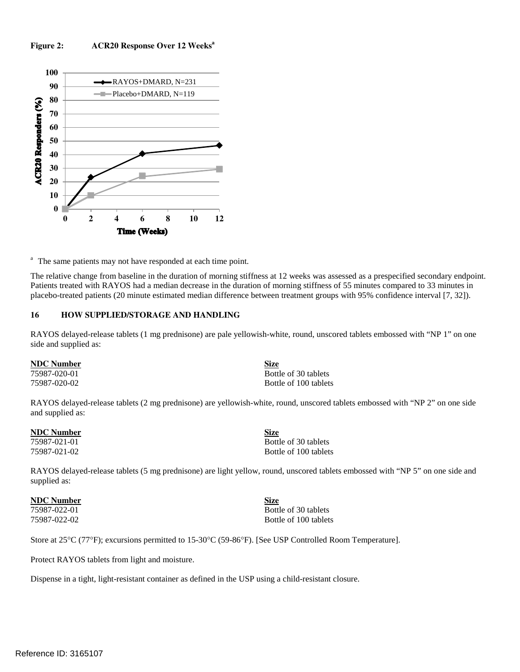#### **Figure 2: ACR20 Response Over 12 Weeks<sup>a</sup>**



<sup>a</sup> The same patients may not have responded at each time point.

 The relative change from baseline in the duration of morning stiffness at 12 weeks was assessed as a prespecified secondary endpoint. The same patients may not have responded at each time point.<br>
The relative change from baseline in the duration of morning stiffness at 12 weeks was assessed as a prespecified secondary endpoint.<br>
Patients treated with RAY Patients treated with RAYOS had a median decrease in the duration of morning stiffness of 55 minutes compared to 33 minutes in placebo-treated patients (20 minute estimated median difference between treatment groups with 95% confidence interval [7, 32]).

#### **16 HOW SUPPLIED/STORAGE AND HANDLING**

 RAYOS delayed-release tablets (1 mg prednisone) are pale yellowish-white, round, unscored tablets embossed with "NP 1" on one side and supplied as:

**NDC Number Size**  $\overline{75987-020-01}$  Bottle of 30 tablets 75987-020-02 Bottle of 100 tablets

 RAYOS delayed-release tablets (2 mg prednisone) are yellowish-white, round, unscored tablets embossed with "NP 2" on one side and supplied as:

#### **NDC Number Size**

75987-021-01 Bottle of 30 tablets 75987-021-02 Bottle of 100 tablets

 RAYOS delayed-release tablets (5 mg prednisone) are light yellow, round, unscored tablets embossed with "NP 5" on one side and supplied as:

**NDC Number Size** 

75987-022-01 Bottle of 30 tablets 75987-022-02 Bottle of 100 tablets

Store at 25°C (77°F); excursions permitted to 15-30°C (59-86°F). [See USP Controlled Room Temperature].

Protect RAYOS tablets from light and moisture.

Dispense in a tight, light-resistant container as defined in the USP using a child-resistant closure.